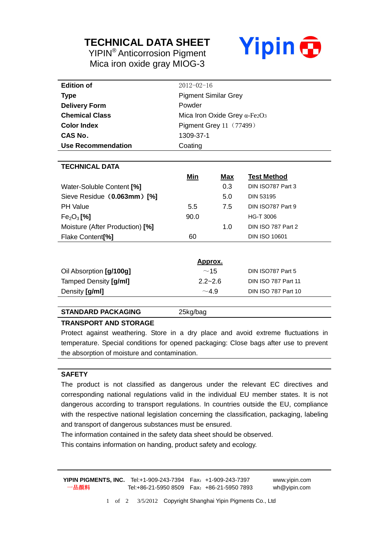## **TECHNICAL DATA SHEET**

YIPIN® Anticorrosion Pigment Mica iron oxide gray MIOG-3



| <b>Edition of</b>               | $2012 - 02 - 16$                                 |            |                            |
|---------------------------------|--------------------------------------------------|------------|----------------------------|
| Type                            | <b>Pigment Similar Grey</b>                      |            |                            |
| <b>Delivery Form</b>            | Powder                                           |            |                            |
| <b>Chemical Class</b>           | Mica Iron Oxide Grey $\alpha$ -Fe2O <sub>3</sub> |            |                            |
| <b>Color Index</b>              | <b>Pigment Grey 11 (77499)</b>                   |            |                            |
| CAS No.                         | 1309-37-1                                        |            |                            |
| Use Recommendation              | Coating                                          |            |                            |
|                                 |                                                  |            |                            |
| <b>TECHNICAL DATA</b>           |                                                  |            |                            |
|                                 | Min                                              | <u>Max</u> | <b>Test Method</b>         |
| Water-Soluble Content [%]       |                                                  | 0.3        | DIN ISO787 Part 3          |
| Sieve Residue (0.063mm) [%]     |                                                  | 5.0        | <b>DIN 53195</b>           |
| <b>PH Value</b>                 | 5.5                                              | 7.5        | DIN ISO787 Part 9          |
| $Fe2O3$ [%]                     | 90.0                                             |            | <b>HG-T 3006</b>           |
| Moisture (After Production) [%] |                                                  | 1.0        | DIN ISO 787 Part 2         |
| Flake Content <sup>[%]</sup>    | 60                                               |            | <b>DIN ISO 10601</b>       |
|                                 |                                                  |            |                            |
| <u>Approx.</u>                  |                                                  |            |                            |
| Oil Absorption [g/100g]         | ~15                                              |            | DIN ISO787 Part 5          |
| Tamped Density [g/ml]           | $2.2 - 2.6$                                      |            | <b>DIN ISO 787 Part 11</b> |

#### **STANDARD PACKAGING** 25kg/bag

#### **TRANSPORT AND STORAGE**

Protect against weathering. Store in a dry place and avoid extreme fluctuations in temperature. Special conditions for opened packaging: Close bags after use to prevent the absorption of moisture and contamination.

Density  $\left[\frac{g}{m}\right]$  **Din ISO 787 Part 10** 

#### **SAFETY**

The product is not classified as dangerous under the relevant EC directives and corresponding national regulations valid in the individual EU member states. It is not dangerous according to transport regulations. In countries outside the EU, compliance with the respective national legislation concerning the classification, packaging, labeling and transport of dangerous substances must be ensured.

The information contained in the safety data sheet should be observed.

This contains information on handing, product safety and ecology.

**YIPIN PIGMENTS, INC.** Tel:+1-909-243-7394 Fax:+1-909-243-7397 www.yipin.com 一品颜料 Tel:+86-21-5950 8509 Fax:+86-21-5950 7893 wh@yipin.com

1 of 2 3/5/2012 Copyright Shanghai Yipin Pigments Co., Ltd